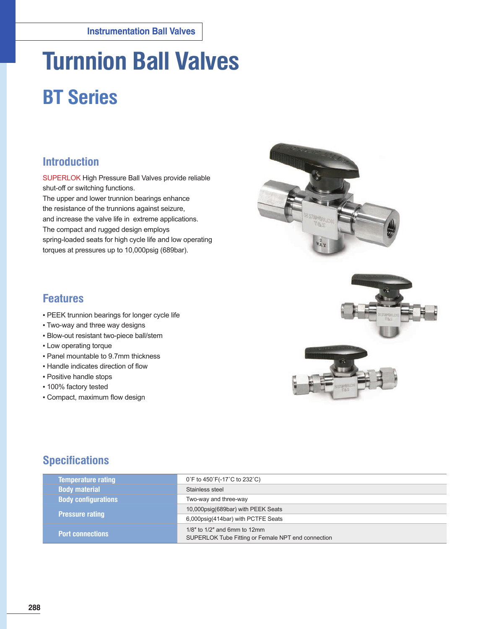# **Turnnion Ball Valves**

# **BT Series**

## **Introduction**

SUPERLOK High Pressure Ball Valves provide reliable shut-off or switching functions. The upper and lower trunnion bearings enhance the resistance of the trunnions against seizure, and increase the valve life in extreme applications. The compact and rugged design employs spring-loaded seats for high cycle life and low operating torques at pressures up to 10,000psig (689bar).



### **Features**

- **PEEK trunnion bearings for longer cycle life**
- Two-way and three way designs
- Blow-out resistant two-piece ball/stem
- Low operating torque
- Panel mountable to 9.7mm thickness
- **.** Handle indicates direction of flow
- Positive handle stops
- 100% factory tested
- Compact, maximum flow design



## **Specifications**

| <b>Temperature rating</b>  | 0°F to 450°F(-17°C to 232°C)                                                                |
|----------------------------|---------------------------------------------------------------------------------------------|
| <b>Body material</b>       | Stainless steel                                                                             |
| <b>Body configurations</b> | Two-way and three-way                                                                       |
|                            | 10,000psig(689bar) with PEEK Seats                                                          |
| <b>Pressure rating</b>     | 6,000psig(414bar) with PCTFE Seats                                                          |
| <b>Port connections</b>    | $1/8$ " to $1/2$ " and 6mm to $12$ mm<br>SUPERLOK Tube Fitting or Female NPT end connection |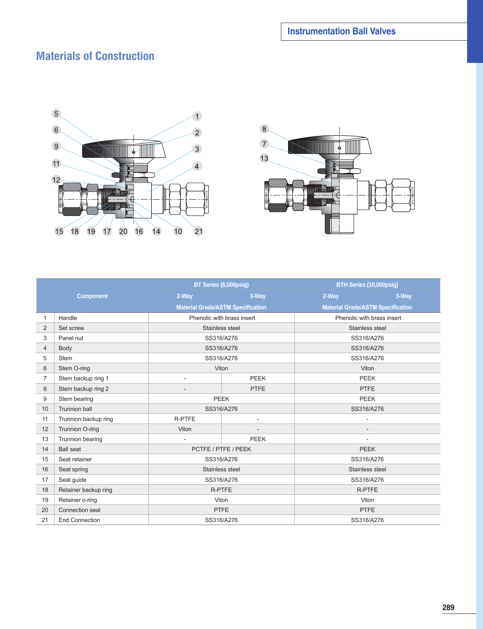## **Materials of Construction**





|                |                       | BT Series (6,000psig) |                                          | BTH Series (10,000psig)                  |             |  |
|----------------|-----------------------|-----------------------|------------------------------------------|------------------------------------------|-------------|--|
|                | <b>Component</b>      | 2-Way                 | 3-Way                                    | 2-Way                                    | 3-Way       |  |
|                |                       |                       | <b>Material Grade/ASTM Specification</b> | <b>Material Grade/ASTM Specification</b> |             |  |
| $\mathbf{1}$   | Handle                |                       | Phenolic with brass insert               | Phenolic with brass insert               |             |  |
| 2              | Set screw             |                       | Stainless steel                          | Stainless steel                          |             |  |
| 3              | Panel nut             |                       | SS316/A276                               | SS316/A276                               |             |  |
| $\overline{4}$ | Body                  |                       | SS316/A276                               |                                          | SS316/A276  |  |
| 5              | <b>Stem</b>           |                       | SS316/A276                               | SS316/A276                               |             |  |
| 6              | Stem O-ring           |                       | Viton                                    | Viton                                    |             |  |
| $\overline{7}$ | Stem backup ring 1    | $\sim$                | <b>PEEK</b>                              |                                          | <b>PEEK</b> |  |
| 8              | Stem backup ring 2    | <b>PTFE</b>           |                                          | <b>PTFE</b>                              |             |  |
| 9              | Stem bearing          | <b>PEEK</b>           |                                          | <b>PEEK</b>                              |             |  |
| 10             | <b>Trunnion ball</b>  | SS316/A276            |                                          | SS316/A276                               |             |  |
| 11             | Trunnion backup ring  | <b>R-PTFE</b>         | $\overline{\phantom{a}}$                 |                                          |             |  |
| 12             | Trunnion O-ring       | Viton                 |                                          |                                          |             |  |
| 13             | Trunnion bearing      |                       | <b>PEEK</b>                              |                                          |             |  |
| 14             | <b>Ball seat</b>      |                       | PCTFE / PTFE / PEEK                      |                                          | <b>PEEK</b> |  |
| 15             | Seat retainer         |                       | SS316/A276                               |                                          | SS316/A276  |  |
| 16             | Seat spring           | Stainless steel       |                                          | Stainless steel                          |             |  |
| 17             | Seat guide            | SS316/A276            |                                          | SS316/A276                               |             |  |
| 18             | Retainer backup ring  | R-PTFE                |                                          | <b>R-PTFE</b>                            |             |  |
| 19             | Retainer o-ring       | Viton                 |                                          | Viton                                    |             |  |
| 20             | Connection seal       |                       | <b>PTFE</b>                              | <b>PTFE</b>                              |             |  |
| 21             | <b>End Connection</b> |                       | SS316/A276                               | SS316/A276                               |             |  |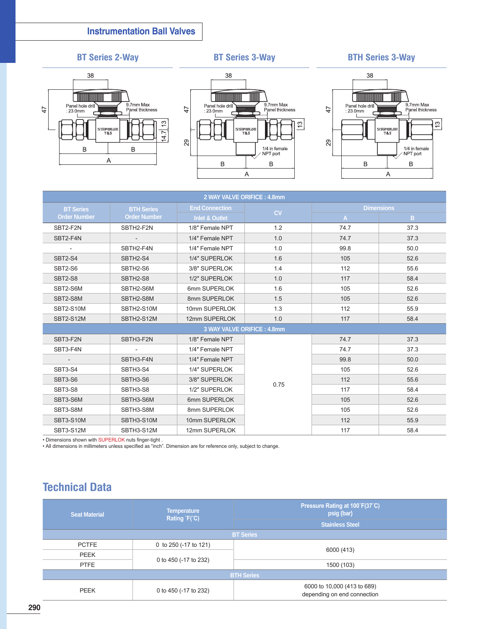### **Instrumentation Ball Valves**

### **BT Series 2-Way BT Series 3-Way BTH Series 3-Way**







| 2 WAY VALVE ORIFICE: 4.8mm |                            |                           |      |                   |      |  |  |  |
|----------------------------|----------------------------|---------------------------|------|-------------------|------|--|--|--|
| <b>BT</b> Series           | <b>BTH Series</b>          | <b>End Connection</b>     | CV   | <b>Dimensions</b> |      |  |  |  |
| <b>Order Number</b>        | <b>Order Number</b>        | <b>Inlet &amp; Outlet</b> |      | $\mathsf{A}$      | B.   |  |  |  |
| SBT2-F2N                   | SBTH2-F2N                  | 1/8" Female NPT           | 1.2  | 74.7              | 37.3 |  |  |  |
| SBT2-F4N                   | $\overline{\phantom{a}}$   | 1/4" Female NPT           | 1.0  | 74.7              | 37.3 |  |  |  |
| $\overline{\phantom{a}}$   | SBTH2-F4N                  | 1/4" Female NPT           | 1.0  | 99.8              | 50.0 |  |  |  |
| SBT2-S4                    | SBTH2-S4                   | 1/4" SUPERLOK             | 1.6  | 105               | 52.6 |  |  |  |
| SBT2-S6                    | SBTH2-S6                   | 3/8" SUPERLOK             | 1.4  | 112               | 55.6 |  |  |  |
| SBT2-S8                    | SBTH2-S8                   | 1/2" SUPERLOK             | 1.0  | 117               | 58.4 |  |  |  |
| SBT2-S6M                   | SBTH2-S6M                  | 6mm SUPERLOK              | 1.6  | 105               | 52.6 |  |  |  |
| SBT2-S8M                   | SBTH2-S8M                  | 8mm SUPERLOK              | 1.5  | 105               | 52.6 |  |  |  |
| <b>SBT2-S10M</b>           | SBTH2-S10M                 | 10mm SUPERLOK             | 1.3  | 112               | 55.9 |  |  |  |
| <b>SBT2-S12M</b>           | SBTH2-S12M                 | 12mm SUPERLOK             | 1.0  | 117               | 58.4 |  |  |  |
|                            | 3 WAY VALVE ORIFICE: 4.8mm |                           |      |                   |      |  |  |  |
| SBT3-F2N                   | SBTH3-F2N                  | 1/8" Female NPT           |      | 74.7              | 37.3 |  |  |  |
| SBT3-F4N                   |                            | 1/4" Female NPT           |      | 74.7              | 37.3 |  |  |  |
| $\sim$                     | SBTH3-F4N                  | 1/4" Female NPT           |      | 99.8              | 50.0 |  |  |  |
| SBT3-S4                    | SBTH3-S4                   | 1/4" SUPERLOK             |      | 105               | 52.6 |  |  |  |
| SBT3-S6                    | SBTH3-S6                   | 3/8" SUPERLOK             | 0.75 | 112               | 55.6 |  |  |  |
| SBT3-S8                    | SBTH3-S8                   | 1/2" SUPERLOK             |      | 117               | 58.4 |  |  |  |
| SBT3-S6M                   | SBTH3-S6M                  | 6mm SUPERLOK              |      | 105               | 52.6 |  |  |  |
| SBT3-S8M                   | SBTH3-S8M                  | 8mm SUPERLOK              |      | 105               | 52.6 |  |  |  |
| SBT3-S10M                  | SBTH3-S10M                 | 10mm SUPERLOK             |      | 112               | 55.9 |  |  |  |
| SBT3-S12M                  | SBTH3-S12M                 | 12mm SUPERLOK             |      | 117               | 58.4 |  |  |  |

• Dimensions shown with SUPERLOK nuts finger-tight .

• All dimensions in millimeters unless specified as "inch". Dimension are for reference only, subject to change.

# **Technical Data**

| <b>Seat Material</b> | <b>Temperature</b><br>Rating $F(C)$ | Pressure Rating at 100°F(37°C)<br>psig (bar)<br><b>Stainless Steel</b> |  |  |  |
|----------------------|-------------------------------------|------------------------------------------------------------------------|--|--|--|
|                      |                                     | <b>BT Series</b>                                                       |  |  |  |
| <b>PCTFE</b>         | 0 to 250 (-17 to 121)               |                                                                        |  |  |  |
| <b>PEEK</b>          |                                     | 6000 (413)                                                             |  |  |  |
| <b>PTFE</b>          | 0 to 450 (-17 to 232)               | 1500 (103)                                                             |  |  |  |
| <b>BTH Series</b>    |                                     |                                                                        |  |  |  |
| PEEK                 | 0 to 450 (-17 to 232)               | 6000 to 10,000 (413 to 689)<br>depending on end connection             |  |  |  |